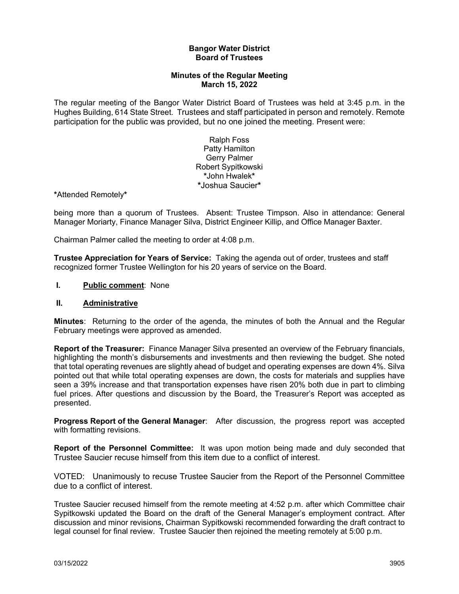### **Bangor Water District Board of Trustees**

## **Minutes of the Regular Meeting March 15, 2022**

The regular meeting of the Bangor Water District Board of Trustees was held at 3:45 p.m. in the Hughes Building, 614 State Street. Trustees and staff participated in person and remotely. Remote participation for the public was provided, but no one joined the meeting. Present were:

> Ralph Foss Patty Hamilton Gerry Palmer Robert Sypitkowski **\***John Hwalek**\* \***Joshua Saucier**\***

**\***Attended Remotely**\***

being more than a quorum of Trustees. Absent: Trustee Timpson. Also in attendance: General Manager Moriarty, Finance Manager Silva, District Engineer Killip, and Office Manager Baxter.

Chairman Palmer called the meeting to order at 4:08 p.m.

**Trustee Appreciation for Years of Service:** Taking the agenda out of order, trustees and staff recognized former Trustee Wellington for his 20 years of service on the Board.

### **I. Public comment**: None

#### **II. Administrative**

**Minutes**: Returning to the order of the agenda, the minutes of both the Annual and the Regular February meetings were approved as amended.

**Report of the Treasurer:** Finance Manager Silva presented an overview of the February financials, highlighting the month's disbursements and investments and then reviewing the budget. She noted that total operating revenues are slightly ahead of budget and operating expenses are down 4%. Silva pointed out that while total operating expenses are down, the costs for materials and supplies have seen a 39% increase and that transportation expenses have risen 20% both due in part to climbing fuel prices. After questions and discussion by the Board, the Treasurer's Report was accepted as presented.

**Progress Report of the General Manager**: After discussion, the progress report was accepted with formatting revisions.

**Report of the Personnel Committee:** It was upon motion being made and duly seconded that Trustee Saucier recuse himself from this item due to a conflict of interest.

VOTED: Unanimously to recuse Trustee Saucier from the Report of the Personnel Committee due to a conflict of interest.

Trustee Saucier recused himself from the remote meeting at 4:52 p.m. after which Committee chair Sypitkowski updated the Board on the draft of the General Manager's employment contract. After discussion and minor revisions, Chairman Sypitkowski recommended forwarding the draft contract to legal counsel for final review. Trustee Saucier then rejoined the meeting remotely at 5:00 p.m.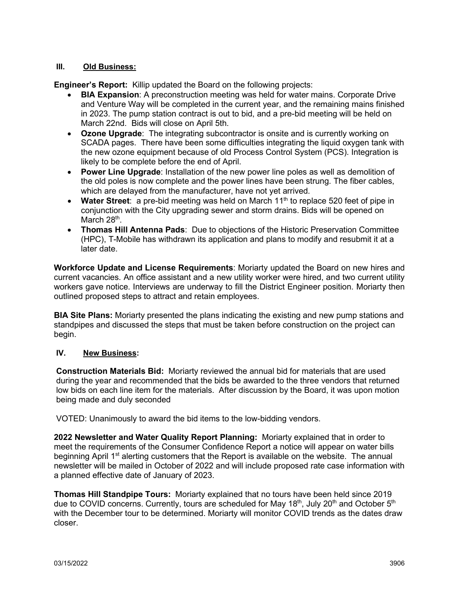## **III. Old Business:**

**Engineer's Report:** Killip updated the Board on the following projects:

- **BIA Expansion**: A preconstruction meeting was held for water mains. Corporate Drive and Venture Way will be completed in the current year, and the remaining mains finished in 2023. The pump station contract is out to bid, and a pre-bid meeting will be held on March 22nd. Bids will close on April 5th.
- **Ozone Upgrade**: The integrating subcontractor is onsite and is currently working on SCADA pages. There have been some difficulties integrating the liquid oxygen tank with the new ozone equipment because of old Process Control System (PCS). Integration is likely to be complete before the end of April.
- **Power Line Upgrade**: Installation of the new power line poles as well as demolition of the old poles is now complete and the power lines have been strung. The fiber cables, which are delayed from the manufacturer, have not yet arrived.
- Water Street: a pre-bid meeting was held on March 11<sup>th</sup> to replace 520 feet of pipe in conjunction with the City upgrading sewer and storm drains. Bids will be opened on March 28<sup>th</sup>.
- **Thomas Hill Antenna Pads**: Due to objections of the Historic Preservation Committee (HPC), T-Mobile has withdrawn its application and plans to modify and resubmit it at a later date.

**Workforce Update and License Requirements**: Moriarty updated the Board on new hires and current vacancies. An office assistant and a new utility worker were hired, and two current utility workers gave notice. Interviews are underway to fill the District Engineer position. Moriarty then outlined proposed steps to attract and retain employees.

**BIA Site Plans:** Moriarty presented the plans indicating the existing and new pump stations and standpipes and discussed the steps that must be taken before construction on the project can begin.

## **IV. New Business:**

**Construction Materials Bid:** Moriarty reviewed the annual bid for materials that are used during the year and recommended that the bids be awarded to the three vendors that returned low bids on each line item for the materials. After discussion by the Board, it was upon motion being made and duly seconded

VOTED: Unanimously to award the bid items to the low-bidding vendors.

**2022 Newsletter and Water Quality Report Planning:** Moriarty explained that in order to meet the requirements of the Consumer Confidence Report a notice will appear on water bills beginning April 1<sup>st</sup> alerting customers that the Report is available on the website. The annual newsletter will be mailed in October of 2022 and will include proposed rate case information with a planned effective date of January of 2023.

**Thomas Hill Standpipe Tours:** Moriarty explained that no tours have been held since 2019 due to COVID concerns. Currently, tours are scheduled for May  $18<sup>th</sup>$ , July  $20<sup>th</sup>$  and October  $5<sup>th</sup>$ with the December tour to be determined. Moriarty will monitor COVID trends as the dates draw closer.